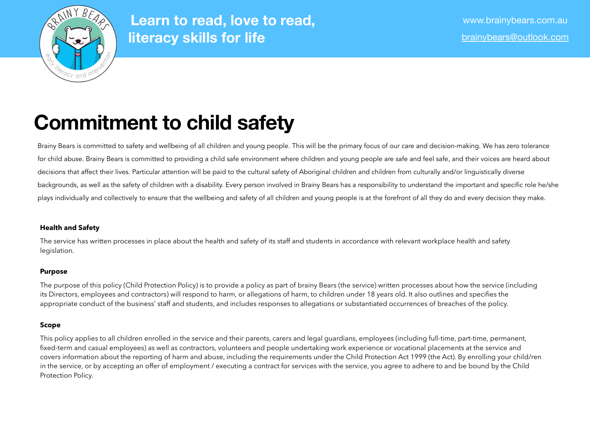

# **Commitment to child safety**

Brainy Bears is committed to safety and wellbeing of all children and young people. This will be the primary focus of our care and decision-making. We has zero tolerance for child abuse. Brainy Bears is committed to providing a child safe environment where children and young people are safe and feel safe, and their voices are heard about decisions that affect their lives. Particular attention will be paid to the cultural safety of Aboriginal children and children from culturally and/or linguistically diverse backgrounds, as well as the safety of children with a disability. Every person involved in Brainy Bears has a responsibility to understand the important and specific role he/she plays individually and collectively to ensure that the wellbeing and safety of all children and young people is at the forefront of all they do and every decision they make.

# **Health and Safety**

The service has written processes in place about the health and safety of its staff and students in accordance with relevant workplace health and safety legislation.

## **Purpose**

The purpose of this policy (Child Protection Policy) is to provide a policy as part of brainy Bears (the service) written processes about how the service (including its Directors, employees and contractors) will respond to harm, or allegations of harm, to children under 18 years old. It also outlines and specifies the appropriate conduct of the business' staff and students, and includes responses to allegations or substantiated occurrences of breaches of the policy.

## **Scope**

This policy applies to all children enrolled in the service and their parents, carers and legal guardians, employees (including full-time, part-time, permanent, fixed-term and casual employees) as well as contractors, volunteers and people undertaking work experience or vocational placements at the service and covers information about the reporting of harm and abuse, including the requirements under the Child Protection Act 1999 (the Act). By enrolling your child/ren in the service, or by accepting an offer of employment / executing a contract for services with the service, you agree to adhere to and be bound by the Child Protection Policy.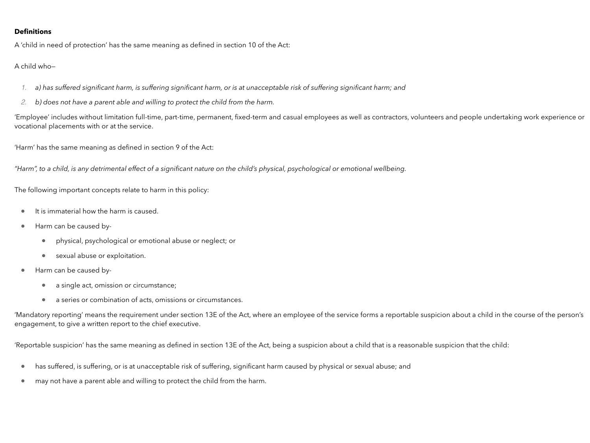### **Definitions**

A 'child in need of protection' has the same meaning as defined in section 10 of the Act:

A child who—

- *1. a) has suffered significant harm, is suffering significant harm, or is at unacceptable risk of suffering significant harm; and*
- *2. b) does not have a parent able and willing to protect the child from the harm.*

'Employee' includes without limitation full-time, part-time, permanent, fixed-term and casual employees as well as contractors, volunteers and people undertaking work experience or vocational placements with or at the service.

'Harm' has the same meaning as defined in section 9 of the Act:

*"Harm", to a child, is any detrimental effect of a significant nature on the child's physical, psychological or emotional wellbeing.*

The following important concepts relate to harm in this policy:

- It is immaterial how the harm is caused.
- Harm can be caused by-
	- physical, psychological or emotional abuse or neglect; or
	- sexual abuse or exploitation.
- Harm can be caused by-
	- a single act, omission or circumstance;
	- a series or combination of acts, omissions or circumstances.

'Mandatory reporting' means the requirement under section 13E of the Act, where an employee of the service forms a reportable suspicion about a child in the course of the person's engagement, to give a written report to the chief executive.

'Reportable suspicion' has the same meaning as defined in section 13E of the Act, being a suspicion about a child that is a reasonable suspicion that the child:

- has suffered, is suffering, or is at unacceptable risk of suffering, significant harm caused by physical or sexual abuse; and
- may not have a parent able and willing to protect the child from the harm.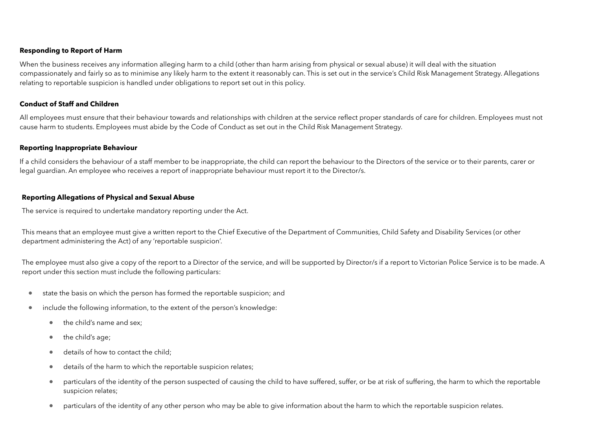### **Responding to Report of Harm**

When the business receives any information alleging harm to a child (other than harm arising from physical or sexual abuse) it will deal with the situation compassionately and fairly so as to minimise any likely harm to the extent it reasonably can. This is set out in the service's Child Risk Management Strategy. Allegations relating to reportable suspicion is handled under obligations to report set out in this policy.

### **Conduct of Staff and Children**

All employees must ensure that their behaviour towards and relationships with children at the service reflect proper standards of care for children. Employees must not cause harm to students. Employees must abide by the Code of Conduct as set out in the Child Risk Management Strategy.

#### **Reporting Inappropriate Behaviour**

If a child considers the behaviour of a staff member to be inappropriate, the child can report the behaviour to the Directors of the service or to their parents, carer or legal guardian. An employee who receives a report of inappropriate behaviour must report it to the Director/s.

#### **Reporting Allegations of Physical and Sexual Abuse**

The service is required to undertake mandatory reporting under the Act.

This means that an employee must give a written report to the Chief Executive of the Department of Communities, Child Safety and Disability Services (or other department administering the Act) of any 'reportable suspicion'.

The employee must also give a copy of the report to a Director of the service, and will be supported by Director/s if a report to Victorian Police Service is to be made. A report under this section must include the following particulars:

- state the basis on which the person has formed the reportable suspicion; and
- include the following information, to the extent of the person's knowledge:
	- the child's name and sex;
	- the child's age;
	- details of how to contact the child;
	- details of the harm to which the reportable suspicion relates;
	- particulars of the identity of the person suspected of causing the child to have suffered, suffer, or be at risk of suffering, the harm to which the reportable suspicion relates;
	- particulars of the identity of any other person who may be able to give information about the harm to which the reportable suspicion relates.